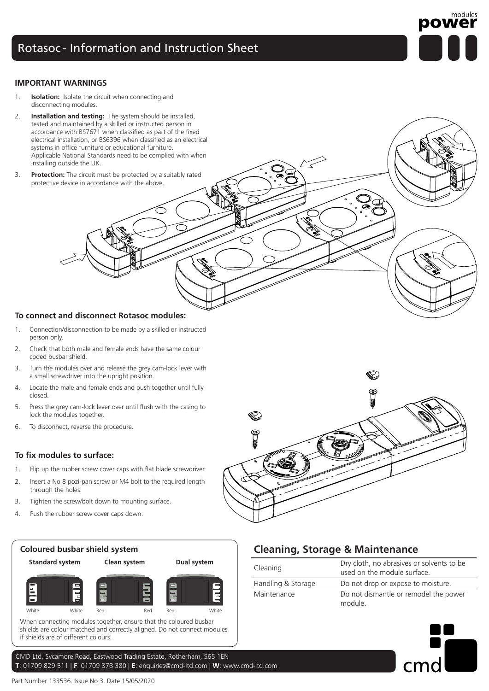## Rotasoc - Information and Instruction Sheet



#### **IMPORTANT WARNINGS**

- 1. **Isolation:** Isolate the circuit when connecting and disconnecting modules.
- 2. **Installation and testing:** The system should be installed, tested and maintained by a skilled or instructed person in accordance with BS7671 when classified as part of the fixed electrical installation, or BS6396 when classified as an electrical systems in office furniture or educational furniture. Applicable National Standards need to be complied with when installing outside the UK.
- 3. **Protection:** The circuit must be protected by a suitably rated protective device in accordance with the above.

#### **To connect and disconnect Rotasoc modules:**

- 1. Connection/disconnection to be made by a skilled or instructed person only.
- 2. Check that both male and female ends have the same colour coded busbar shield.
- 3. Turn the modules over and release the grey cam-lock lever with a small screwdriver into the upright position.
- 4. Locate the male and female ends and push together until fully closed.
- 5. Press the grey cam-lock lever over until flush with the casing to lock the modules together.
- 6. To disconnect, reverse the procedure.

#### **To fix modules to surface:**

- 1. Flip up the rubber screw cover caps with flat blade screwdriver.
- 2. Insert a No 8 pozi-pan screw or M4 bolt to the required length through the holes.
- 3. Tighten the screw/bolt down to mounting surface.
- 4. Push the rubber screw cover caps down.



if shields are of different colours.

CMD Ltd, Sycamore Road, Eastwood Trading Estate, Rotherham, S65 1EN **T**: 01709 829 511 | **F**: 01709 378 380 | **E**: enquiries@cmd-ltd.com | **W**: www.cmd-ltd.com



## **Cleaning, Storage & Maintenance**

| Cleaning           | Dry cloth, no abrasives or solvents to be<br>used on the module surface. |
|--------------------|--------------------------------------------------------------------------|
| Handling & Storage | Do not drop or expose to moisture.                                       |
| Maintenance        | Do not dismantle or remodel the power<br>module.                         |